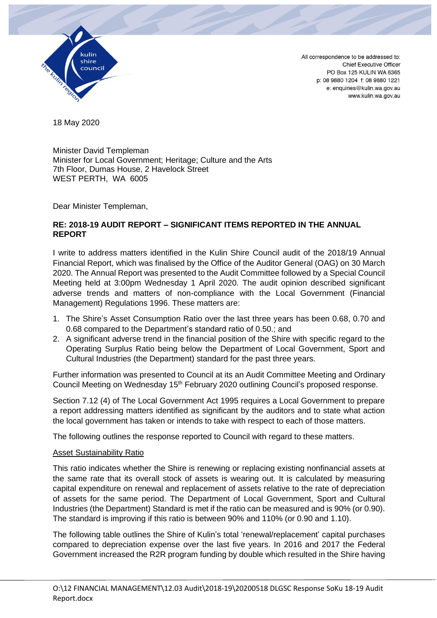

18 May 2020

Minister David Templeman Minister for Local Government; Heritage; Culture and the Arts 7th Floor, Dumas House, 2 Havelock Street WEST PERTH, WA 6005

Dear Minister Templeman,

# **RE: 2018-19 AUDIT REPORT – SIGNIFICANT ITEMS REPORTED IN THE ANNUAL REPORT**

I write to address matters identified in the Kulin Shire Council audit of the 2018/19 Annual Financial Report, which was finalised by the Office of the Auditor General (OAG) on 30 March 2020. The Annual Report was presented to the Audit Committee followed by a Special Council Meeting held at 3:00pm Wednesday 1 April 2020. The audit opinion described significant adverse trends and matters of non-compliance with the Local Government (Financial Management) Regulations 1996. These matters are:

- 1. The Shire's Asset Consumption Ratio over the last three years has been 0.68, 0.70 and 0.68 compared to the Department's standard ratio of 0.50.; and
- 2. A significant adverse trend in the financial position of the Shire with specific regard to the Operating Surplus Ratio being below the Department of Local Government, Sport and Cultural Industries (the Department) standard for the past three years.

Further information was presented to Council at its an Audit Committee Meeting and Ordinary Council Meeting on Wednesday 15<sup>th</sup> February 2020 outlining Council's proposed response.

Section 7.12 (4) of The Local Government Act 1995 requires a Local Government to prepare a report addressing matters identified as significant by the auditors and to state what action the local government has taken or intends to take with respect to each of those matters.

The following outlines the response reported to Council with regard to these matters.

### Asset Sustainability Ratio

This ratio indicates whether the Shire is renewing or replacing existing nonfinancial assets at the same rate that its overall stock of assets is wearing out. It is calculated by measuring capital expenditure on renewal and replacement of assets relative to the rate of depreciation of assets for the same period. The Department of Local Government, Sport and Cultural Industries (the Department) Standard is met if the ratio can be measured and is 90% (or 0.90). The standard is improving if this ratio is between 90% and 110% (or 0.90 and 1.10).

The following table outlines the Shire of Kulin's total 'renewal/replacement' capital purchases compared to depreciation expense over the last five years. In 2016 and 2017 the Federal Government increased the R2R program funding by double which resulted in the Shire having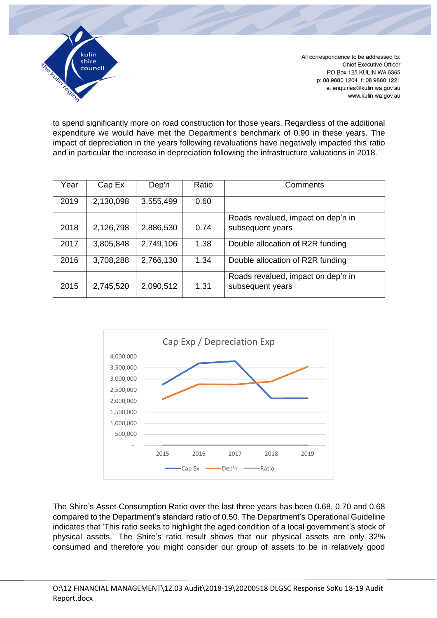

to spend significantly more on road construction for those years. Regardless of the additional expenditure we would have met the Department's benchmark of 0.90 in these years. The impact of depreciation in the years following revaluations have negatively impacted this ratio and in particular the increase in depreciation following the infrastructure valuations in 2018.

| Year | Cap Ex    | Dep'n     | Ratio | Comments                                               |  |
|------|-----------|-----------|-------|--------------------------------------------------------|--|
| 2019 | 2,130,098 | 3,555,499 | 0.60  |                                                        |  |
| 2018 | 2,126,798 | 2,886,530 | 0.74  | Roads revalued, impact on dep'n in<br>subsequent years |  |
| 2017 | 3,805,848 | 2,749,106 | 1.38  | Double allocation of R2R funding                       |  |
| 2016 | 3,708,288 | 2,766,130 | 1.34  | Double allocation of R2R funding                       |  |
| 2015 | 2,745,520 | 2,090,512 | 1.31  | Roads revalued, impact on dep'n in<br>subsequent years |  |



The Shire's Asset Consumption Ratio over the last three years has been 0.68, 0.70 and 0.68 compared to the Department's standard ratio of 0.50. The Department's Operational Guideline indicates that 'This ratio seeks to highlight the aged condition of a local government's stock of physical assets.' The Shire's ratio result shows that our physical assets are only 32% consumed and therefore you might consider our group of assets to be in relatively good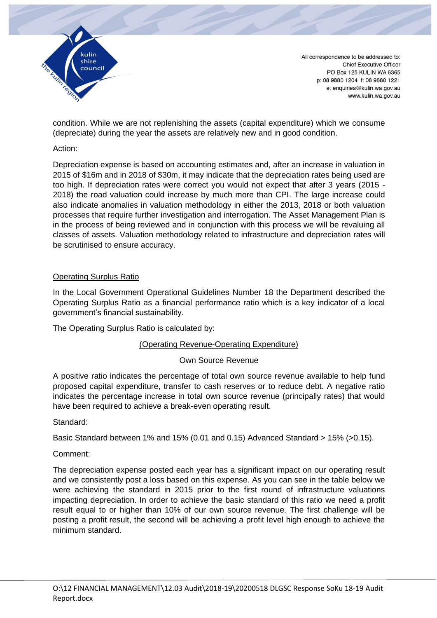

condition. While we are not replenishing the assets (capital expenditure) which we consume (depreciate) during the year the assets are relatively new and in good condition.

## Action:

Depreciation expense is based on accounting estimates and, after an increase in valuation in 2015 of \$16m and in 2018 of \$30m, it may indicate that the depreciation rates being used are too high. If depreciation rates were correct you would not expect that after 3 years (2015 - 2018) the road valuation could increase by much more than CPI. The large increase could also indicate anomalies in valuation methodology in either the 2013, 2018 or both valuation processes that require further investigation and interrogation. The Asset Management Plan is in the process of being reviewed and in conjunction with this process we will be revaluing all classes of assets. Valuation methodology related to infrastructure and depreciation rates will be scrutinised to ensure accuracy.

# Operating Surplus Ratio

In the Local Government Operational Guidelines Number 18 the Department described the Operating Surplus Ratio as a financial performance ratio which is a key indicator of a local government's financial sustainability.

The Operating Surplus Ratio is calculated by:

# (Operating Revenue-Operating Expenditure)

### Own Source Revenue

A positive ratio indicates the percentage of total own source revenue available to help fund proposed capital expenditure, transfer to cash reserves or to reduce debt. A negative ratio indicates the percentage increase in total own source revenue (principally rates) that would have been required to achieve a break-even operating result.

### Standard:

Basic Standard between 1% and 15% (0.01 and 0.15) Advanced Standard > 15% (>0.15).

### Comment:

The depreciation expense posted each year has a significant impact on our operating result and we consistently post a loss based on this expense. As you can see in the table below we were achieving the standard in 2015 prior to the first round of infrastructure valuations impacting depreciation. In order to achieve the basic standard of this ratio we need a profit result equal to or higher than 10% of our own source revenue. The first challenge will be posting a profit result, the second will be achieving a profit level high enough to achieve the minimum standard.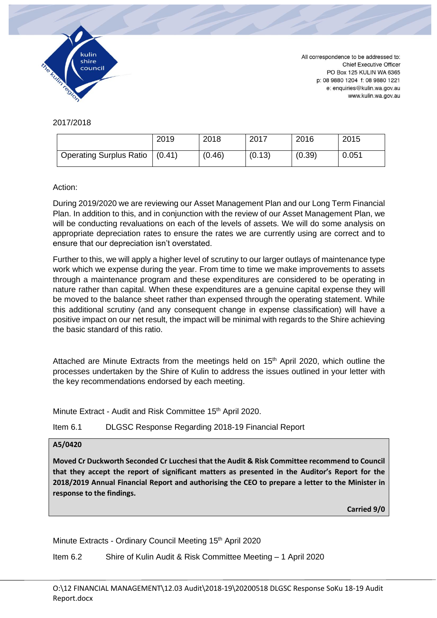

2017/2018

|                                | 2019   | 2018   | 2017   | 2016   | 2015  |
|--------------------------------|--------|--------|--------|--------|-------|
| <b>Operating Surplus Ratio</b> | (0.41) | (0.46) | (0.13) | (0.39) | 0.051 |

### Action:

During 2019/2020 we are reviewing our Asset Management Plan and our Long Term Financial Plan. In addition to this, and in conjunction with the review of our Asset Management Plan, we will be conducting revaluations on each of the levels of assets. We will do some analysis on appropriate depreciation rates to ensure the rates we are currently using are correct and to ensure that our depreciation isn't overstated.

Further to this, we will apply a higher level of scrutiny to our larger outlays of maintenance type work which we expense during the year. From time to time we make improvements to assets through a maintenance program and these expenditures are considered to be operating in nature rather than capital. When these expenditures are a genuine capital expense they will be moved to the balance sheet rather than expensed through the operating statement. While this additional scrutiny (and any consequent change in expense classification) will have a positive impact on our net result, the impact will be minimal with regards to the Shire achieving the basic standard of this ratio.

Attached are Minute Extracts from the meetings held on 15<sup>th</sup> April 2020, which outline the processes undertaken by the Shire of Kulin to address the issues outlined in your letter with the key recommendations endorsed by each meeting.

Minute Extract - Audit and Risk Committee 15<sup>th</sup> April 2020.

Item 6.1 DLGSC Response Regarding 2018-19 Financial Report

#### **A5/0420**

**Moved Cr Duckworth Seconded Cr Lucchesi that the Audit & Risk Committee recommend to Council that they accept the report of significant matters as presented in the Auditor's Report for the 2018/2019 Annual Financial Report and authorising the CEO to prepare a letter to the Minister in response to the findings.**

**Carried 9/0**

Minute Extracts - Ordinary Council Meeting 15<sup>th</sup> April 2020

Item 6.2 Shire of Kulin Audit & Risk Committee Meeting – 1 April 2020